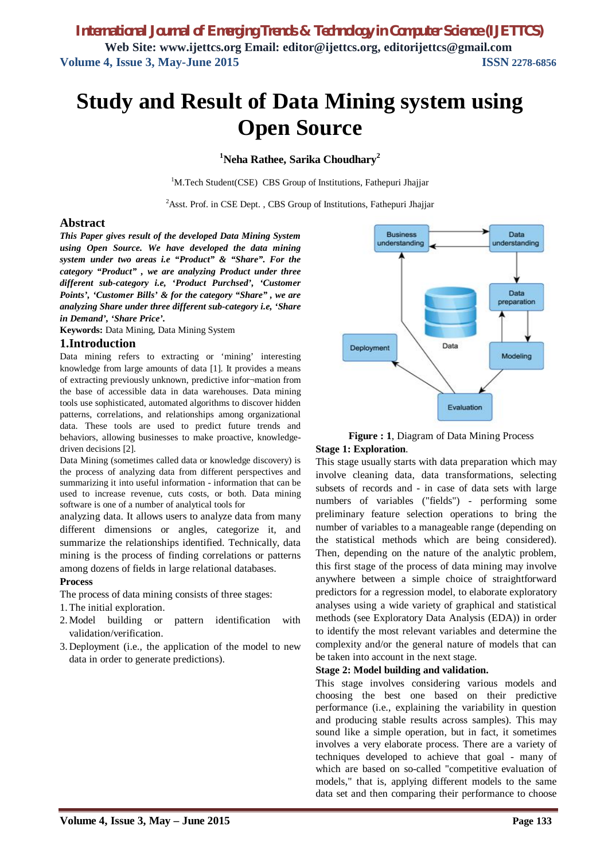*International Journal of Emerging Trends & Technology in Computer Science (IJETTCS)* **Web Site: www.ijettcs.org Email: editor@ijettcs.org, editorijettcs@gmail.com Volume 4, Issue 3, May-June 2015 ISSN** 2278-6856

# **Study and Result of Data Mining system using Open Source**

## **<sup>1</sup>Neha Rathee, Sarika Choudhary<sup>2</sup>**

<sup>1</sup>M.Tech Student(CSE) CBS Group of Institutions, Fathepuri Jhajjar

<sup>2</sup>Asst. Prof. in CSE Dept., CBS Group of Institutions, Fathepuri Jhajjar

### **Abstract**

*This Paper gives result of the developed Data Mining System using Open Source. We have developed the data mining system under two areas i.e "Product" & "Share". For the category "Product" , we are analyzing Product under three different sub-category i.e, 'Product Purchsed', 'Customer Points', 'Customer Bills' & for the category "Share" , we are analyzing Share under three different sub-category i.e, 'Share in Demand', 'Share Price'.* 

**Keywords:** Data Mining, Data Mining System

## **1.Introduction**

Data mining refers to extracting or 'mining' interesting knowledge from large amounts of data [1]. It provides a means of extracting previously unknown, predictive infor¬mation from the base of accessible data in data warehouses. Data mining tools use sophisticated, automated algorithms to discover hidden patterns, correlations, and relationships among organizational data. These tools are used to predict future trends and behaviors, allowing businesses to make proactive, knowledgedriven decisions [2].

Data Mining (sometimes called data or knowledge discovery) is the process of analyzing data from different perspectives and summarizing it into useful information - information that can be used to increase revenue, cuts costs, or both. Data mining software is one of a number of analytical tools for

analyzing data. It allows users to analyze data from many different dimensions or angles, categorize it, and summarize the relationships identified. Technically, data mining is the process of finding correlations or patterns among dozens of fields in large relational databases.

#### **Process**

The process of data mining consists of three stages:

1. The initial exploration.

- 2. Model building or pattern identification with validation/verification.
- 3. Deployment (i.e., the application of the model to new data in order to generate predictions).





This stage usually starts with data preparation which may involve cleaning data, data transformations, selecting subsets of records and - in case of data sets with large numbers of variables ("fields") - performing some preliminary feature selection operations to bring the number of variables to a manageable range (depending on the statistical methods which are being considered). Then, depending on the nature of the analytic problem, this first stage of the process of data mining may involve anywhere between a simple choice of straightforward predictors for a regression model, to elaborate exploratory analyses using a wide variety of graphical and statistical methods (see Exploratory Data Analysis (EDA)) in order to identify the most relevant variables and determine the complexity and/or the general nature of models that can be taken into account in the next stage.

#### **Stage 2: Model building and validation.**

This stage involves considering various models and choosing the best one based on their predictive performance (i.e., explaining the variability in question and producing stable results across samples). This may sound like a simple operation, but in fact, it sometimes involves a very elaborate process. There are a variety of techniques developed to achieve that goal - many of which are based on so-called "competitive evaluation of models," that is, applying different models to the same data set and then comparing their performance to choose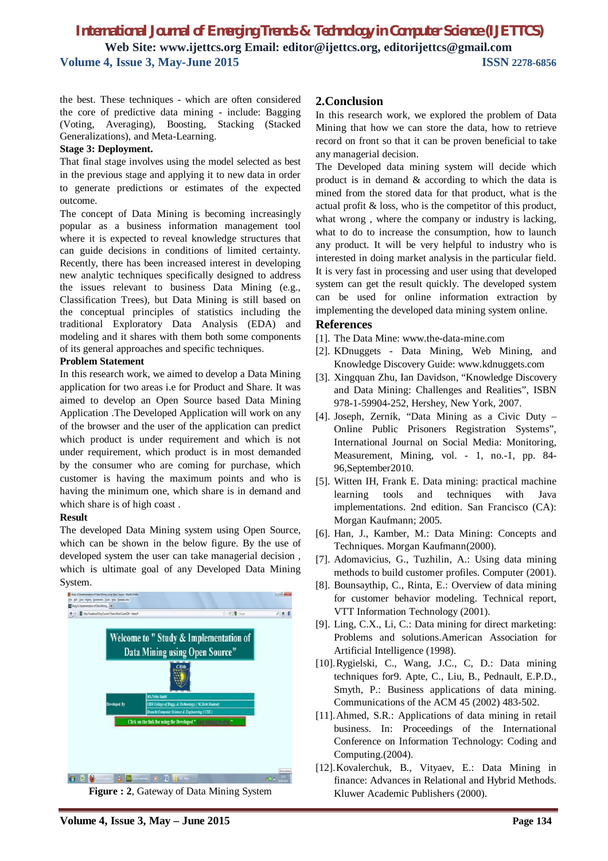## *International Journal of Emerging Trends & Technology in Computer Science (IJETTCS)* **Web Site: www.ijettcs.org Email: editor@ijettcs.org, editorijettcs@gmail.com Volume 4, Issue 3, May-June 2015 ISSN** 2278-6856

the best. These techniques - which are often considered the core of predictive data mining - include: Bagging (Voting, Averaging), Boosting, Stacking (Stacked Generalizations), and Meta-Learning.

#### **Stage 3: Deployment.**

That final stage involves using the model selected as best in the previous stage and applying it to new data in order to generate predictions or estimates of the expected outcome.

The concept of Data Mining is becoming increasingly popular as a business information management tool where it is expected to reveal knowledge structures that can guide decisions in conditions of limited certainty. Recently, there has been increased interest in developing new analytic techniques specifically designed to address the issues relevant to business Data Mining (e.g., Classification Trees), but Data Mining is still based on the conceptual principles of statistics including the traditional Exploratory Data Analysis (EDA) and modeling and it shares with them both some components of its general approaches and specific techniques.

#### **Problem Statement**

In this research work, we aimed to develop a Data Mining application for two areas i.e for Product and Share. It was aimed to develop an Open Source based Data Mining Application .The Developed Application will work on any of the browser and the user of the application can predict which product is under requirement and which is not under requirement, which product is in most demanded by the consumer who are coming for purchase, which customer is having the maximum points and who is having the minimum one, which share is in demand and which share is of high coast .

#### **Result**

The developed Data Mining system using Open Source, which can be shown in the below figure. By the use of developed system the user can take managerial decision , which is ultimate goal of any Developed Data Mining System.



**Figure : 2**, Gateway of Data Mining System

## **2.Conclusion**

In this research work, we explored the problem of Data Mining that how we can store the data, how to retrieve record on front so that it can be proven beneficial to take any managerial decision.

The Developed data mining system will decide which product is in demand & according to which the data is mined from the stored data for that product, what is the actual profit & loss, who is the competitor of this product, what wrong , where the company or industry is lacking, what to do to increase the consumption, how to launch any product. It will be very helpful to industry who is interested in doing market analysis in the particular field. It is very fast in processing and user using that developed system can get the result quickly. The developed system can be used for online information extraction by implementing the developed data mining system online.

#### **References**

- [1]. The Data Mine: www.the-data-mine.com
- [2]. KDnuggets Data Mining, Web Mining, and Knowledge Discovery Guide: www.kdnuggets.com
- [3]. Xingquan Zhu, Ian Davidson, "Knowledge Discovery and Data Mining: Challenges and Realities", ISBN 978-1-59904-252, Hershey, New York, 2007.
- [4]. Joseph, Zernik, "Data Mining as a Civic Duty Online Public Prisoners Registration Systems", International Journal on Social Media: Monitoring, Measurement, Mining, vol. - 1, no.-1, pp. 84- 96,September2010.
- [5]. Witten IH, Frank E. Data mining: practical machine learning tools and techniques with Java implementations. 2nd edition. San Francisco (CA): Morgan Kaufmann; 2005.
- [6]. Han, J., Kamber, M.: Data Mining: Concepts and Techniques. Morgan Kaufmann(2000).
- [7]. Adomavicius, G., Tuzhilin, A.: Using data mining methods to build customer profiles. Computer (2001).
- [8]. Bounsaythip, C., Rinta, E.: Overview of data mining for customer behavior modeling. Technical report, VTT Information Technology (2001).
- [9]. Ling, C.X., Li, C.: Data mining for direct marketing: Problems and solutions.American Association for Artificial Intelligence (1998).
- [10].Rygielski, C., Wang, J.C., C, D.: Data mining techniques for9. Apte, C., Liu, B., Pednault, E.P.D., Smyth, P.: Business applications of data mining. Communications of the ACM 45 (2002) 483-502.
- [11].Ahmed, S.R.: Applications of data mining in retail business. In: Proceedings of the International Conference on Information Technology: Coding and Computing.(2004).
- [12].Kovalerchuk, B., Vityaev, E.: Data Mining in finance: Advances in Relational and Hybrid Methods. Kluwer Academic Publishers (2000).